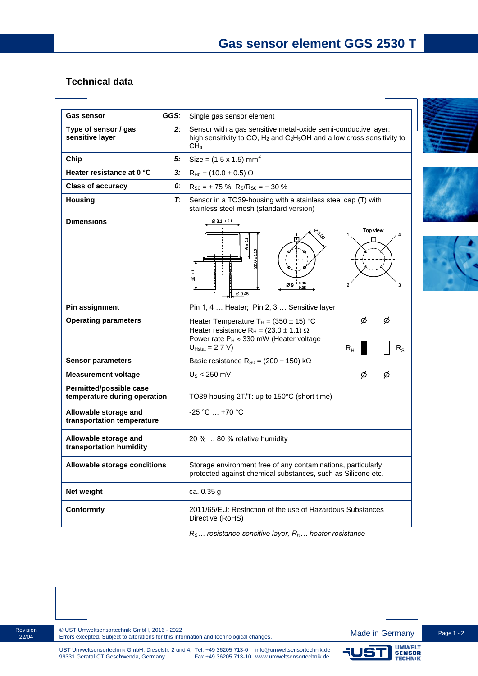## **Technical data**

| Gas sensor                                              | GGS: | Single gas sensor element                                                                                                                                                                                         |
|---------------------------------------------------------|------|-------------------------------------------------------------------------------------------------------------------------------------------------------------------------------------------------------------------|
| Type of sensor / gas<br>sensitive layer                 | 2:   | Sensor with a gas sensitive metal-oxide semi-conductive layer:<br>high sensitivity to CO, $H_2$ and $C_2H_5OH$ and a low cross sensitivity to<br>CH <sub>4</sub>                                                  |
| Chip                                                    | 5:   | Size = $(1.5 \times 1.5)$ mm <sup>2</sup>                                                                                                                                                                         |
| Heater resistance at 0 °C                               | 3:   | $R_{H0} = (10.0 \pm 0.5) \Omega$                                                                                                                                                                                  |
| <b>Class of accuracy</b>                                | 0.   | $R_{S0} = \pm 75$ %, $R_S/R_{S0} = \pm 30$ %                                                                                                                                                                      |
| <b>Housing</b>                                          | Т.   | Sensor in a TO39-housing with a stainless steel cap (T) with<br>stainless steel mesh (standard version)                                                                                                           |
| <b>Dimensions</b>                                       |      | Ø8.1 ± 0.1<br>Top view<br>$e_{\sigma_{Q_0}}$<br>$6 + 0.1$<br>$\overline{6}$<br>$\varnothing$ 9 $^{+0.06}_{-0.05}$<br>2<br>з<br>$\varnothing$ 0.45                                                                 |
| Pin assignment                                          |      | Pin 1, 4  Heater; Pin 2, 3  Sensitive layer                                                                                                                                                                       |
| <b>Operating parameters</b>                             |      | Ø<br>Heater Temperature T <sub>H</sub> = $(350 \pm 15)$ °C<br>Heater resistance $R_H = (23.0 \pm 1.1) \Omega$<br>Power rate $P_H \approx 330$ mW (Heater voltage<br>$U_{Hstat} = 2.7 V$<br>$R_{H}$<br>$R_{\rm S}$ |
| <b>Sensor parameters</b>                                |      | Basic resistance $R_{S0} = (200 \pm 150) \text{ k}\Omega$                                                                                                                                                         |
| <b>Measurement voltage</b>                              |      | $US$ < 250 mV                                                                                                                                                                                                     |
| Permitted/possible case<br>temperature during operation |      | TO39 housing 2T/T: up to 150°C (short time)                                                                                                                                                                       |
| Allowable storage and<br>transportation temperature     |      | $-25 °C  +70 °C$                                                                                                                                                                                                  |
| Allowable storage and<br>transportation humidity        |      | 20 %  80 % relative humidity                                                                                                                                                                                      |
| Allowable storage conditions                            |      | Storage environment free of any contaminations, particularly<br>protected against chemical substances, such as Silicone etc.                                                                                      |
| Net weight                                              |      | ca. 0.35 g                                                                                                                                                                                                        |
| <b>Conformity</b>                                       |      | 2011/65/EU: Restriction of the use of Hazardous Substances<br>Directive (RoHS)                                                                                                                                    |

*RS… resistance sensitive layer, RH… heater resistance*







Revision 22/04

15 I

UMWELT<br>SENSOR<br>TECHNIK